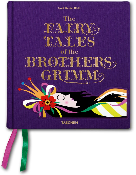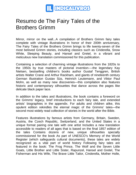

## Resumo de The Fairy Tales of the Brothers Grimm

Mirror, mirror on the wall...A compilation of Brothers Grimm fairy tales complete with vintage illustrations In honor of their 200th anniversary, The Fairy Tales of the Brothers Grimm brings to life twenty-seven of the most beloved Grimm stories, including classics such as Cinderella, Snow White, Sleeping Beauty, and Hansel and Gretel, in a vibrant and meticulous new translation commissioned for this publication.

Containing a selection of charming vintage illustrations from the 1820s to the 1950s by true masters of pictorial invention-—the legendary Kay Nielsen, bestselling children's books author Gustaf Tenggren, British artists Walter Crane and Arthur Rackham, and giants of nineteenth century German illustration Gustav Süs, Heinrich Leutemann, and Viktor Paul Mohn, as well as many new discoveries—this compilation also features historic and contemporary silhouettes that dance across the pages like delicate black paper lace.

In addition to the tales and illustrations, the book contains a foreword on the Grimms' legacy, brief introductions to each fairy tale, and extended artists' biographies in the appendix. For adults and children alike, this opulent edition rekindles the eternal magic of the Grimms' tales—the second most widely read collection of stories in the world after the Bible.

Features illustrations by famous artists from Germany, Britain, Sweden, Austria, the Czech Republic, Switzerland, and the United States in a unique format pairing one tale with one artist Includes a new translation accessible to readers of all ages that is based on the final 1857 edition of the tales Contains dozens of new, unique silhouettes specially commissioned for the book As part of UNESCO's Memory of the World Register (which safeguards cultural documents), these tales are widely recognized as a vital part of world history Following fairy tales are featured in the book: The Frog Prince, The Wolf and the Seven Little Goats, Little Brother and Little Sister, Rapunzel, Hansel and Gretel, The Fisherman and His Wife, The Brave Little Tailor, Cinderella, Mother Holle,